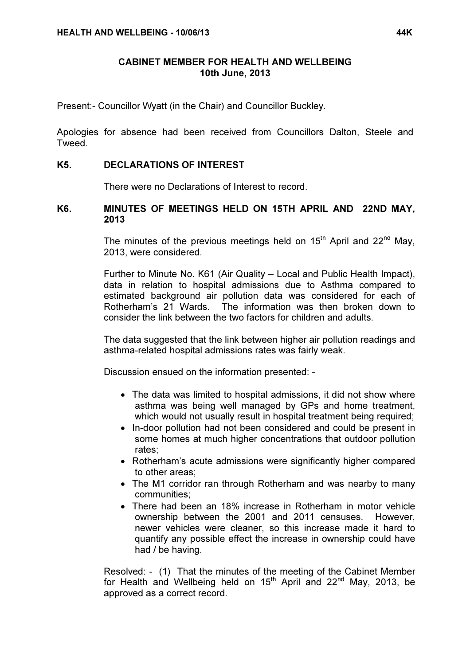#### CABINET MEMBER FOR HEALTH AND WELLBEING 10th June, 2013

Present:- Councillor Wyatt (in the Chair) and Councillor Buckley.

Apologies for absence had been received from Councillors Dalton, Steele and **Tweed.** 

### K5. DECLARATIONS OF INTEREST

There were no Declarations of Interest to record.

### K6. MINUTES OF MEETINGS HELD ON 15TH APRIL AND 22ND MAY, 2013

The minutes of the previous meetings held on  $15<sup>th</sup>$  April and  $22<sup>nd</sup>$  May, 2013, were considered.

Further to Minute No. K61 (Air Quality – Local and Public Health Impact), data in relation to hospital admissions due to Asthma compared to estimated background air pollution data was considered for each of Rotherham's 21 Wards. The information was then broken down to consider the link between the two factors for children and adults.

The data suggested that the link between higher air pollution readings and asthma-related hospital admissions rates was fairly weak.

Discussion ensued on the information presented: -

- The data was limited to hospital admissions, it did not show where asthma was being well managed by GPs and home treatment, which would not usually result in hospital treatment being required;
- In-door pollution had not been considered and could be present in some homes at much higher concentrations that outdoor pollution rates;
- Rotherham's acute admissions were significantly higher compared to other areas;
- The M1 corridor ran through Rotherham and was nearby to many communities;
- There had been an 18% increase in Rotherham in motor vehicle ownership between the 2001 and 2011 censuses. However, newer vehicles were cleaner, so this increase made it hard to quantify any possible effect the increase in ownership could have had / be having.

Resolved: - (1) That the minutes of the meeting of the Cabinet Member for Health and Wellbeing held on  $15<sup>th</sup>$  April and  $22<sup>nd</sup>$  May, 2013, be approved as a correct record.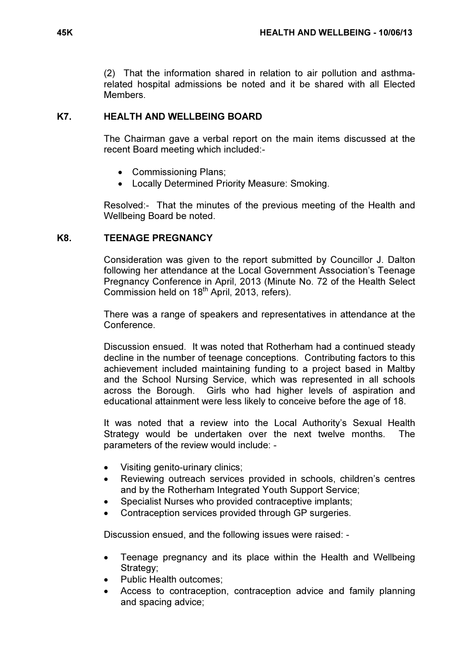(2) That the information shared in relation to air pollution and asthmarelated hospital admissions be noted and it be shared with all Elected **Members** 

## K7. HEALTH AND WELLBEING BOARD

 The Chairman gave a verbal report on the main items discussed at the recent Board meeting which included:-

- Commissioning Plans;
- Locally Determined Priority Measure: Smoking.

Resolved:- That the minutes of the previous meeting of the Health and Wellbeing Board be noted.

## K8. TEENAGE PREGNANCY

 Consideration was given to the report submitted by Councillor J. Dalton following her attendance at the Local Government Association's Teenage Pregnancy Conference in April, 2013 (Minute No. 72 of the Health Select Commission held on 18<sup>th</sup> April, 2013, refers).

There was a range of speakers and representatives in attendance at the Conference.

Discussion ensued. It was noted that Rotherham had a continued steady decline in the number of teenage conceptions. Contributing factors to this achievement included maintaining funding to a project based in Maltby and the School Nursing Service, which was represented in all schools across the Borough. Girls who had higher levels of aspiration and educational attainment were less likely to conceive before the age of 18.

It was noted that a review into the Local Authority's Sexual Health Strategy would be undertaken over the next twelve months. The parameters of the review would include: -

- Visiting genito-urinary clinics;
- Reviewing outreach services provided in schools, children's centres and by the Rotherham Integrated Youth Support Service;
- Specialist Nurses who provided contraceptive implants:
- Contraception services provided through GP surgeries.

Discussion ensued, and the following issues were raised: -

- Teenage pregnancy and its place within the Health and Wellbeing Strategy;
- Public Health outcomes:
- Access to contraception, contraception advice and family planning and spacing advice;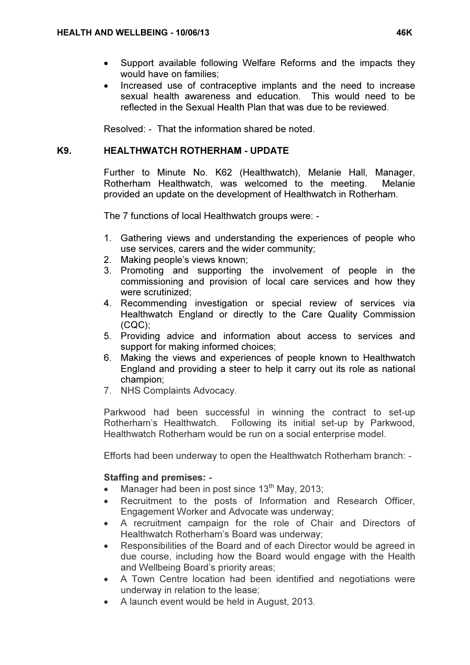- Support available following Welfare Reforms and the impacts they would have on families;
- Increased use of contraceptive implants and the need to increase sexual health awareness and education. This would need to be reflected in the Sexual Health Plan that was due to be reviewed.

Resolved: - That the information shared be noted.

# K9. HEALTHWATCH ROTHERHAM - UPDATE

 Further to Minute No. K62 (Healthwatch), Melanie Hall, Manager, Rotherham Healthwatch, was welcomed to the meeting. Melanie provided an update on the development of Healthwatch in Rotherham.

The 7 functions of local Healthwatch groups were: -

- 1. Gathering views and understanding the experiences of people who use services, carers and the wider community;
- 2. Making people's views known;
- 3. Promoting and supporting the involvement of people in the commissioning and provision of local care services and how they were scrutinized;
- 4. Recommending investigation or special review of services via Healthwatch England or directly to the Care Quality Commission (CQC);
- 5. Providing advice and information about access to services and support for making informed choices;
- 6. Making the views and experiences of people known to Healthwatch England and providing a steer to help it carry out its role as national champion;
- 7. NHS Complaints Advocacy.

Parkwood had been successful in winning the contract to set-up Rotherham's Healthwatch. Following its initial set-up by Parkwood, Healthwatch Rotherham would be run on a social enterprise model.

Efforts had been underway to open the Healthwatch Rotherham branch: -

# Staffing and premises: -

- Manager had been in post since 13<sup>th</sup> May, 2013:
- Recruitment to the posts of Information and Research Officer. Engagement Worker and Advocate was underway;
- A recruitment campaign for the role of Chair and Directors of Healthwatch Rotherham's Board was underway;
- Responsibilities of the Board and of each Director would be agreed in due course, including how the Board would engage with the Health and Wellbeing Board's priority areas;
- A Town Centre location had been identified and negotiations were underway in relation to the lease;
- A launch event would be held in August, 2013.